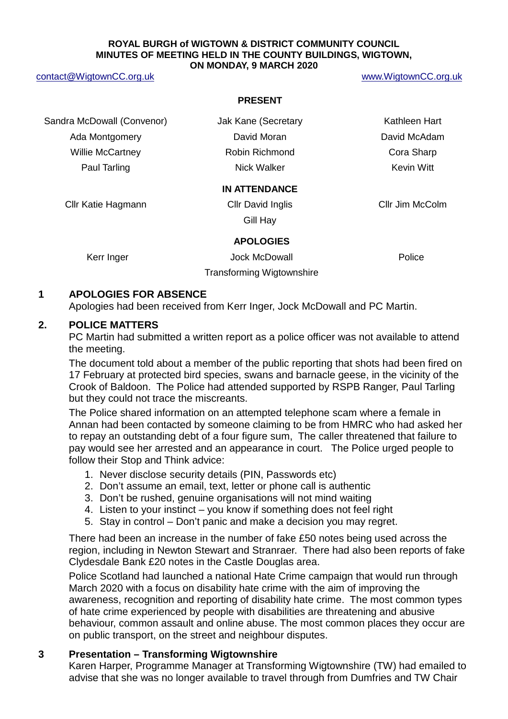#### **ROYAL BURGH of WIGTOWN & DISTRICT COMMUNITY COUNCIL MINUTES OF MEETING HELD IN THE COUNTY BUILDINGS, WIGTOWN, ON MONDAY, 9 MARCH 2020**

#### [contact@WigtownCC.org.uk](mailto:contact@WigtownCC.org.uk) [www.WigtownCC.org.uk](http://www.wigtowncc.org.uk/)

#### **PRESENT**

Sandra McDowall (Convenor) **Jak Kane (Secretary Kathleen Hart** Ada Montgomery **David Moran** David Moran David McAdam Willie McCartney **Robin Richmond** Cora Sharp Paul Tarling Nick Walker Nick Walker Nick Walker Nick Allen Nick Allen Kevin Witt

#### **IN ATTENDANCE**

Cllr Katie Hagmann Cllr David Inglis Cllr Jim McColm

Gill Hay

#### **APOLOGIES**

Kerr Inger **No. 2008** Jock McDowall **Containers** Police Transforming Wigtownshire

**1 APOLOGIES FOR ABSENCE**

Apologies had been received from Kerr Inger, Jock McDowall and PC Martin.

#### **2. POLICE MATTERS**

PC Martin had submitted a written report as a police officer was not available to attend the meeting.

The document told about a member of the public reporting that shots had been fired on 17 February at protected bird species, swans and barnacle geese, in the vicinity of the Crook of Baldoon. The Police had attended supported by RSPB Ranger, Paul Tarling but they could not trace the miscreants.

The Police shared information on an attempted telephone scam where a female in Annan had been contacted by someone claiming to be from HMRC who had asked her to repay an outstanding debt of a four figure sum, The caller threatened that failure to pay would see her arrested and an appearance in court. The Police urged people to follow their Stop and Think advice:

- 1. Never disclose security details (PIN, Passwords etc)
- 2. Don't assume an email, text, letter or phone call is authentic
- 3. Don't be rushed, genuine organisations will not mind waiting
- 4. Listen to your instinct you know if something does not feel right
- 5. Stay in control Don't panic and make a decision you may regret.

There had been an increase in the number of fake £50 notes being used across the region, including in Newton Stewart and Stranraer. There had also been reports of fake Clydesdale Bank £20 notes in the Castle Douglas area.

Police Scotland had launched a national Hate Crime campaign that would run through March 2020 with a focus on disability hate crime with the aim of improving the awareness, recognition and reporting of disability hate crime. The most common types of hate crime experienced by people with disabilities are threatening and abusive behaviour, common assault and online abuse. The most common places they occur are on public transport, on the street and neighbour disputes.

## **3 Presentation – Transforming Wigtownshire**

Karen Harper, Programme Manager at Transforming Wigtownshire (TW) had emailed to advise that she was no longer available to travel through from Dumfries and TW Chair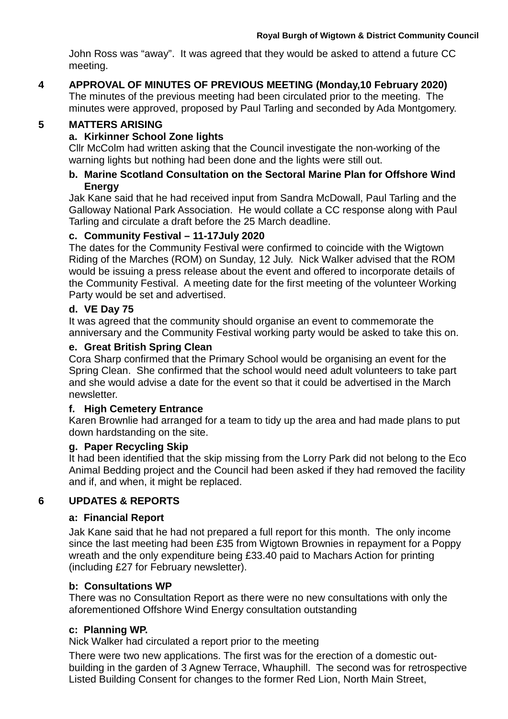John Ross was "away". It was agreed that they would be asked to attend a future CC meeting.

## **4 APPROVAL OF MINUTES OF PREVIOUS MEETING (Monday,10 February 2020)**

The minutes of the previous meeting had been circulated prior to the meeting. The minutes were approved, proposed by Paul Tarling and seconded by Ada Montgomery.

## **5 MATTERS ARISING**

# **a. Kirkinner School Zone lights**

Cllr McColm had written asking that the Council investigate the non-working of the warning lights but nothing had been done and the lights were still out.

## **b. Marine Scotland Consultation on the Sectoral Marine Plan for Offshore Wind Energy**

Jak Kane said that he had received input from Sandra McDowall, Paul Tarling and the Galloway National Park Association. He would collate a CC response along with Paul Tarling and circulate a draft before the 25 March deadline.

## **c. Community Festival – 11-17July 2020**

The dates for the Community Festival were confirmed to coincide with the Wigtown Riding of the Marches (ROM) on Sunday, 12 July. Nick Walker advised that the ROM would be issuing a press release about the event and offered to incorporate details of the Community Festival. A meeting date for the first meeting of the volunteer Working Party would be set and advertised.

## **d. VE Day 75**

It was agreed that the community should organise an event to commemorate the anniversary and the Community Festival working party would be asked to take this on.

## **e. Great British Spring Clean**

Cora Sharp confirmed that the Primary School would be organising an event for the Spring Clean. She confirmed that the school would need adult volunteers to take part and she would advise a date for the event so that it could be advertised in the March newsletter.

## **f. High Cemetery Entrance**

Karen Brownlie had arranged for a team to tidy up the area and had made plans to put down hardstanding on the site.

## **g. Paper Recycling Skip**

It had been identified that the skip missing from the Lorry Park did not belong to the Eco Animal Bedding project and the Council had been asked if they had removed the facility and if, and when, it might be replaced.

# **6 UPDATES & REPORTS**

## **a: Financial Report**

Jak Kane said that he had not prepared a full report for this month. The only income since the last meeting had been £35 from Wigtown Brownies in repayment for a Poppy wreath and the only expenditure being £33.40 paid to Machars Action for printing (including £27 for February newsletter).

# **b: Consultations WP**

There was no Consultation Report as there were no new consultations with only the aforementioned Offshore Wind Energy consultation outstanding

## **c: Planning WP.**

Nick Walker had circulated a report prior to the meeting

There were two new applications. The first was for the erection of a domestic outbuilding in the garden of 3 Agnew Terrace, Whauphill. The second was for retrospective Listed Building Consent for changes to the former Red Lion, North Main Street,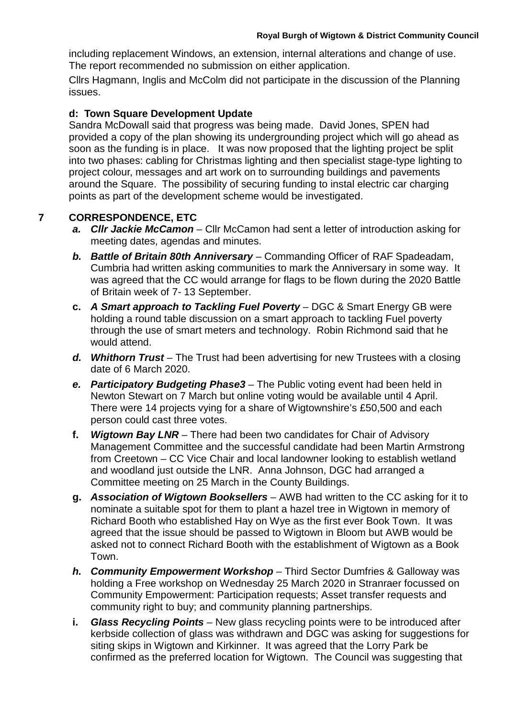including replacement Windows, an extension, internal alterations and change of use. The report recommended no submission on either application.

Cllrs Hagmann, Inglis and McColm did not participate in the discussion of the Planning issues.

#### **d: Town Square Development Update**

Sandra McDowall said that progress was being made. David Jones, SPEN had provided a copy of the plan showing its undergrounding project which will go ahead as soon as the funding is in place. It was now proposed that the lighting project be split into two phases: cabling for Christmas lighting and then specialist stage-type lighting to project colour, messages and art work on to surrounding buildings and pavements around the Square. The possibility of securing funding to instal electric car charging points as part of the development scheme would be investigated.

## **7 CORRESPONDENCE, ETC**

- *a. Cllr Jackie McCamon* Cllr McCamon had sent a letter of introduction asking for meeting dates, agendas and minutes.
- *b. Battle of Britain 80th Anniversary*  Commanding Officer of RAF Spadeadam, Cumbria had written asking communities to mark the Anniversary in some way. It was agreed that the CC would arrange for flags to be flown during the 2020 Battle of Britain week of 7- 13 September.
- **c.** *A Smart approach to Tackling Fuel Poverty*  DGC & Smart Energy GB were holding a round table discussion on a smart approach to tackling Fuel poverty through the use of smart meters and technology. Robin Richmond said that he would attend.
- d. Whithorn Trust The Trust had been advertising for new Trustees with a closing date of 6 March 2020.
- *e. Participatory Budgeting Phase3* The Public voting event had been held in Newton Stewart on 7 March but online voting would be available until 4 April. There were 14 projects vying for a share of Wigtownshire's £50,500 and each person could cast three votes.
- **f.** *Wigtown Bay LNR*  There had been two candidates for Chair of Advisory Management Committee and the successful candidate had been Martin Armstrong from Creetown – CC Vice Chair and local landowner looking to establish wetland and woodland just outside the LNR. Anna Johnson, DGC had arranged a Committee meeting on 25 March in the County Buildings.
- **g.** *Association of Wigtown Booksellers*  AWB had written to the CC asking for it to nominate a suitable spot for them to plant a hazel tree in Wigtown in memory of Richard Booth who established Hay on Wye as the first ever Book Town. It was agreed that the issue should be passed to Wigtown in Bloom but AWB would be asked not to connect Richard Booth with the establishment of Wigtown as a Book Town.
- *h. Community Empowerment Workshop* Third Sector Dumfries & Galloway was holding a Free workshop on Wednesday 25 March 2020 in Stranraer focussed on Community Empowerment: Participation requests; Asset transfer requests and community right to buy; and community planning partnerships.
- **i.** *Glass Recycling Points* New glass recycling points were to be introduced after kerbside collection of glass was withdrawn and DGC was asking for suggestions for siting skips in Wigtown and Kirkinner. It was agreed that the Lorry Park be confirmed as the preferred location for Wigtown. The Council was suggesting that